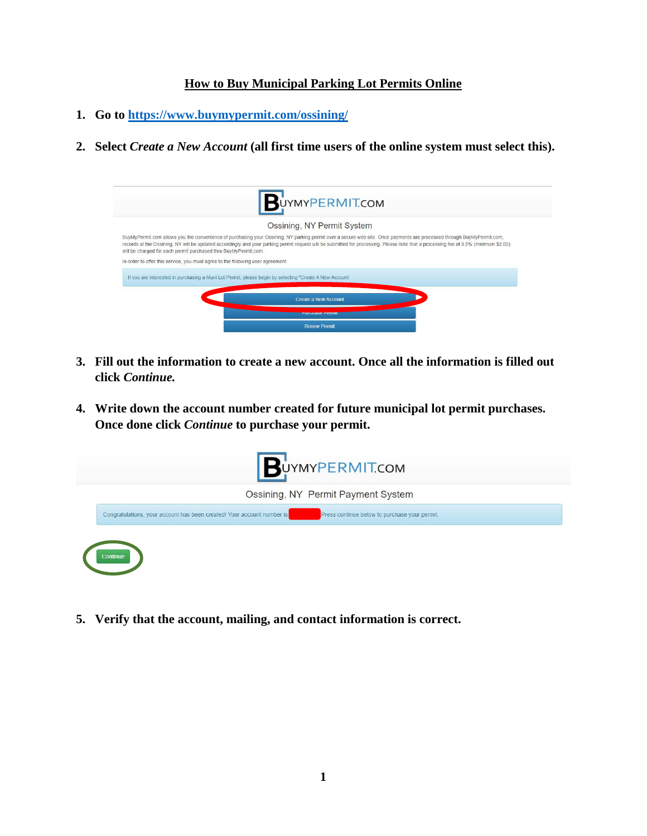## **How to Buy Municipal Parking Lot Permits Online**

- **1. Go to<https://www.buymypermit.com/ossining/>**
- **2. Select** *Create a New Account* **(all first time users of the online system must select this).**

|                                                                                 | BUYMYPERMITCOM                                                                                                                                                                                                                                                                                                                                                 |
|---------------------------------------------------------------------------------|----------------------------------------------------------------------------------------------------------------------------------------------------------------------------------------------------------------------------------------------------------------------------------------------------------------------------------------------------------------|
|                                                                                 | Ossining, NY Permit System                                                                                                                                                                                                                                                                                                                                     |
| will be charged for each permit purchased thru BuyMyPermit.com.                 | BuyMyPermit.com allows you the convenience of purchasing your Ossining, NY parking permit over a secure web site. Once payments are processed through BuyMyPermit.com,<br>records at the Ossining, NY will be updated accordingly and your parking permit request will be submitted for processing. Please note that a processing fee of 3.5% (minimum \$2.00) |
| In order to offer this service, you must agree to the following user agreement. |                                                                                                                                                                                                                                                                                                                                                                |
|                                                                                 | If you are interested in purchasing a Muni Lot Permit, please begin by selecting "Create A New Account                                                                                                                                                                                                                                                         |
|                                                                                 | Create a New Account                                                                                                                                                                                                                                                                                                                                           |
|                                                                                 | <b>Fultiliast Fellilli</b>                                                                                                                                                                                                                                                                                                                                     |
|                                                                                 | <b>Renew Permit</b>                                                                                                                                                                                                                                                                                                                                            |

- **3. Fill out the information to create a new account. Once all the information is filled out click** *Continue.*
- **4. Write down the account number created for future municipal lot permit purchases. Once done click** *Continue* **to purchase your permit.**



**5. Verify that the account, mailing, and contact information is correct.**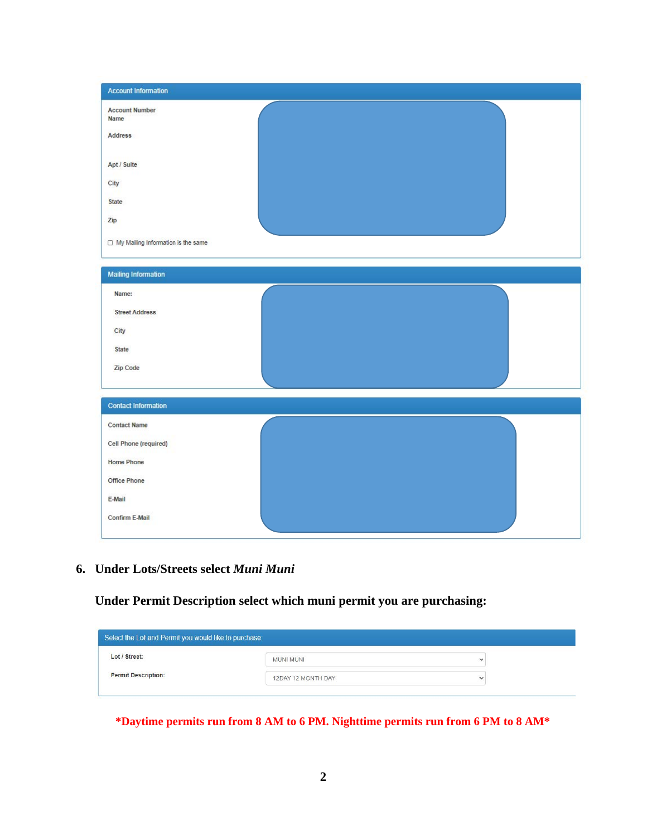| <b>Account Information</b>           |  |  |
|--------------------------------------|--|--|
| <b>Account Number</b><br>Name        |  |  |
| <b>Address</b>                       |  |  |
| Apt / Suite                          |  |  |
| City                                 |  |  |
| <b>State</b>                         |  |  |
| Zip                                  |  |  |
| □ My Mailing Information is the same |  |  |
| <b>Mailing Information</b>           |  |  |
| Name:                                |  |  |
| <b>Street Address</b>                |  |  |
| City                                 |  |  |
| State                                |  |  |
| Zip Code                             |  |  |
| <b>Contact Information</b>           |  |  |
| <b>Contact Name</b>                  |  |  |
| Cell Phone (required)                |  |  |
| <b>Home Phone</b>                    |  |  |
| Office Phone                         |  |  |
| E-Mail                               |  |  |
| Confirm E-Mail                       |  |  |

**6. Under Lots/Streets select** *Muni Muni*

**Under Permit Description select which muni permit you are purchasing:**

| Select the Lot and Permit you would like to purchase: |                    |              |
|-------------------------------------------------------|--------------------|--------------|
| Lot / Street:                                         | <b>MUNI MUNI</b>   | $\checkmark$ |
| <b>Permit Description:</b>                            | 12DAY 12 MONTH DAY | $\checkmark$ |

**\*Daytime permits run from 8 AM to 6 PM. Nighttime permits run from 6 PM to 8 AM\***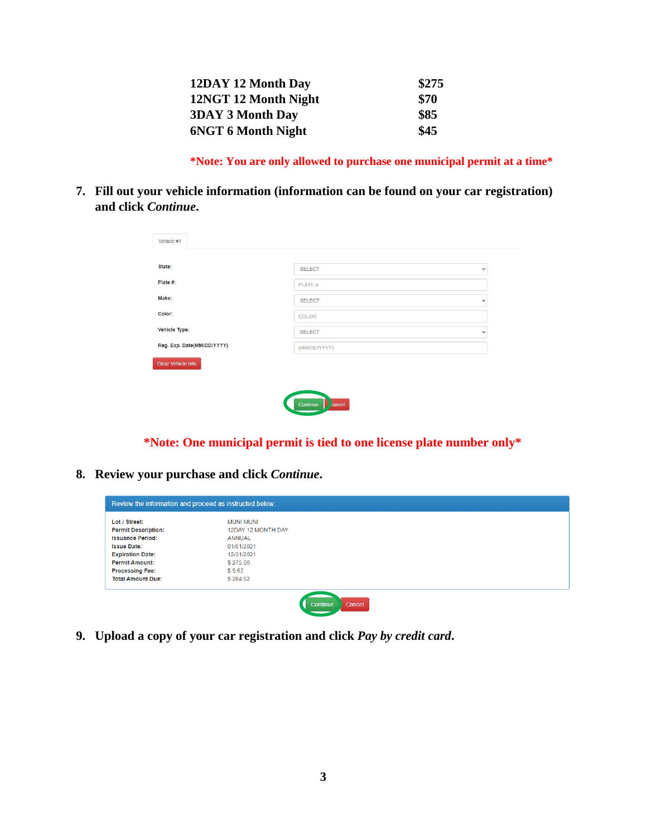| 12DAY 12 Month Day        | \$275 |
|---------------------------|-------|
| 12NGT 12 Month Night      | \$70  |
| <b>3DAY 3 Month Day</b>   | \$85  |
| <b>6NGT 6 Month Night</b> | \$45  |

**\*Note: You are only allowed to purchase one municipal permit at a time\***

**7. Fill out your vehicle information (information can be found on your car registration) and click** *Continue***.**

| State:                     | SELECT        | $\checkmark$ |
|----------------------------|---------------|--------------|
| Plate #:                   | PLATE #       |              |
| Make:                      | <b>SELECT</b> | $\checkmark$ |
| Color:                     | COLOR         |              |
| Vehicle Type:              | <b>SELECT</b> | $\checkmark$ |
| Reg. Exp. Date(MM/DD/YYYY) | (MM/DD/YYYY)  |              |
| <b>Clear Vehicle Info</b>  |               |              |

Commune Premier

**\*Note: One municipal permit is tied to one license plate number only\***

**8. Review your purchase and click** *Continue***.**

| Lot / Street:              | <b>MUNI MUNI</b>   |  |  |
|----------------------------|--------------------|--|--|
| <b>Permit Description:</b> | 12DAY 12 MONTH DAY |  |  |
| <b>Issuance Period:</b>    | ANNUAL             |  |  |
| <b>Issue Date:</b>         | 01/01/2021         |  |  |
| <b>Expiration Date:</b>    | 12/31/2021         |  |  |
| <b>Permit Amount:</b>      | \$275.00           |  |  |
| <b>Processing Fee:</b>     | \$9.62             |  |  |
| <b>Total Amount Due:</b>   | \$284.62           |  |  |

**9. Upload a copy of your car registration and click** *Pay by credit card***.**